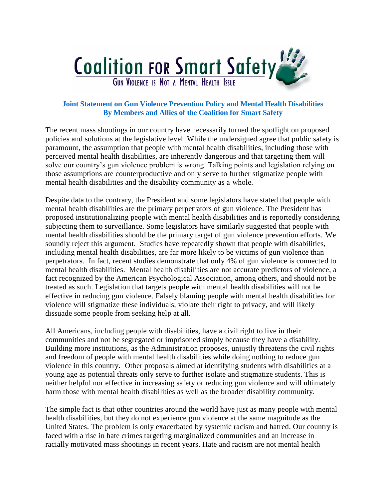

## **Joint Statement on Gun Violence Prevention Policy and Mental Health Disabilities By Members and Allies of the Coalition for Smart Safety**

The recent mass shootings in our country have necessarily turned the spotlight on proposed policies and solutions at the legislative level. While the undersigned agree that public safety is paramount, the assumption that people with mental health disabilities, including those with perceived mental health disabilities, are inherently dangerous and that targeting them will solve our country's gun violence problem is wrong. Talking points and legislation relying on those assumptions are counterproductive and only serve to further stigmatize people with mental health disabilities and the disability community as a whole.

Despite data to the contrary, the President and some legislators have stated that people with mental health disabilities are the primary perpetrators of gun violence. The President has proposed institutionalizing people with mental health disabilities and is reportedly considering subjecting them to surveillance. Some legislators have similarly suggested that people with mental health disabilities should be the primary target of gun violence prevention efforts. We soundly reject this argument. Studies have repeatedly shown that people with disabilities, including mental health disabilities, are far more likely to be victims of gun violence than perpetrators. In fact, recent studies demonstrate that only 4% of gun violence is connected to mental health disabilities. Mental health disabilities are not accurate predictors of violence, a fact recognized by the American Psychological Association, among others, and should not be treated as such. Legislation that targets people with mental health disabilities will not be effective in reducing gun violence. Falsely blaming people with mental health disabilities for violence will stigmatize these individuals, violate their right to privacy, and will likely dissuade some people from seeking help at all.

All Americans, including people with disabilities, have a civil right to live in their communities and not be segregated or imprisoned simply because they have a disability. Building more institutions, as the Administration proposes, unjustly threatens the civil rights and freedom of people with mental health disabilities while doing nothing to reduce gun violence in this country. Other proposals aimed at identifying students with disabilities at a young age as potential threats only serve to further isolate and stigmatize students. This is neither helpful nor effective in increasing safety or reducing gun violence and will ultimately harm those with mental health disabilities as well as the broader disability community.

The simple fact is that other countries around the world have just as many people with mental health disabilities, but they do not experience gun violence at the same magnitude as the United States. The problem is only exacerbated by systemic racism and hatred. Our country is faced with a rise in hate crimes targeting marginalized communities and an increase in racially motivated mass shootings in recent years. Hate and racism are not mental health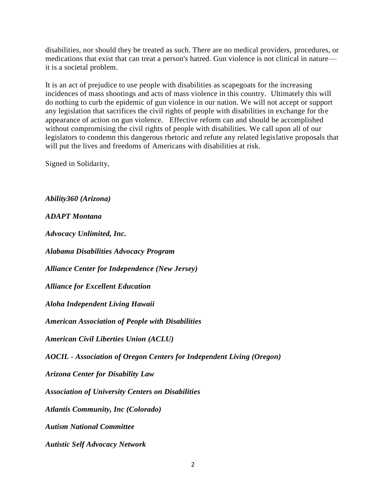disabilities, nor should they be treated as such. There are no medical providers, procedures, or medications that exist that can treat a person's hatred. Gun violence is not clinical in nature it is a societal problem.

It is an act of prejudice to use people with disabilities as scapegoats for the increasing incidences of mass shootings and acts of mass violence in this country. Ultimately this will do nothing to curb the epidemic of gun violence in our nation. We will not accept or support any legislation that sacrifices the civil rights of people with disabilities in exchange for the appearance of action on gun violence. Effective reform can and should be accomplished without compromising the civil rights of people with disabilities. We call upon all of our legislators to condemn this dangerous rhetoric and refute any related legislative proposals that will put the lives and freedoms of Americans with disabilities at risk.

Signed in Solidarity,

*Ability360 (Arizona)*

*ADAPT Montana*

*Advocacy Unlimited, Inc.*

*Alabama Disabilities Advocacy Program*

*Alliance Center for Independence (New Jersey)*

*Alliance for Excellent Education*

*Aloha Independent Living Hawaii*

*American Association of People with Disabilities*

*American Civil Liberties Union (ACLU)*

*AOCIL - Association of Oregon Centers for Independent Living (Oregon)*

*Arizona Center for Disability Law*

*Association of University Centers on Disabilities*

*Atlantis Community, Inc (Colorado)*

*Autism National Committee*

*Autistic Self Advocacy Network*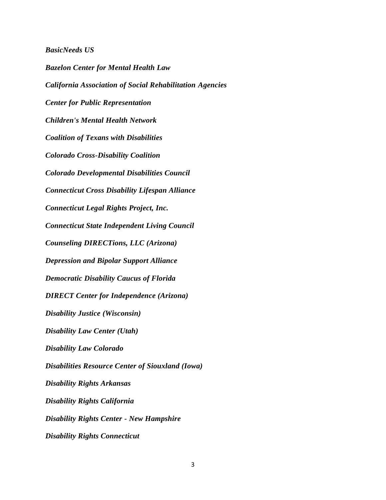## *BasicNeeds US*

*Bazelon Center for Mental Health Law California Association of Social Rehabilitation Agencies Center for Public Representation Children's Mental Health Network Coalition of Texans with Disabilities Colorado Cross-Disability Coalition Colorado Developmental Disabilities Council Connecticut Cross Disability Lifespan Alliance Connecticut Legal Rights Project, Inc. Connecticut State Independent Living Council Counseling DIRECTions, LLC (Arizona) Depression and Bipolar Support Alliance Democratic Disability Caucus of Florida DIRECT Center for Independence (Arizona) Disability Justice (Wisconsin) Disability Law Center (Utah) Disability Law Colorado Disabilities Resource Center of Siouxland (Iowa) Disability Rights Arkansas Disability Rights California Disability Rights Center - New Hampshire Disability Rights Connecticut*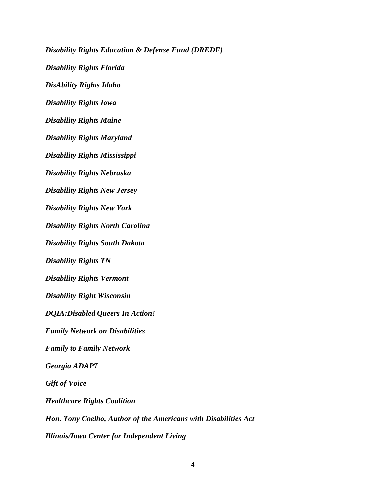*Disability Rights Education & Defense Fund (DREDF) Disability Rights Florida DisAbility Rights Idaho Disability Rights Iowa Disability Rights Maine Disability Rights Maryland Disability Rights Mississippi Disability Rights Nebraska Disability Rights New Jersey Disability Rights New York Disability Rights North Carolina Disability Rights South Dakota Disability Rights TN Disability Rights Vermont Disability Right Wisconsin DQIA:Disabled Queers In Action! Family Network on Disabilities Family to Family Network Georgia ADAPT Gift of Voice Healthcare Rights Coalition Hon. Tony Coelho, Author of the Americans with Disabilities Act Illinois/Iowa Center for Independent Living*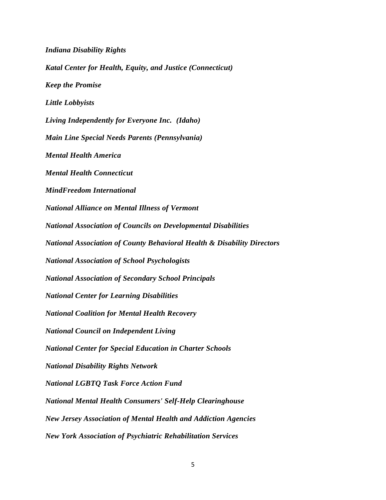*Indiana Disability Rights Katal Center for Health, Equity, and Justice (Connecticut) Keep the Promise Little Lobbyists Living Independently for Everyone Inc. (Idaho) Main Line Special Needs Parents (Pennsylvania) Mental Health America Mental Health Connecticut MindFreedom International National Alliance on Mental Illness of Vermont National Association of Councils on Developmental Disabilities National Association of County Behavioral Health & Disability Directors National Association of School Psychologists National Association of Secondary School Principals National Center for Learning Disabilities National Coalition for Mental Health Recovery National Council on Independent Living National Center for Special Education in Charter Schools National Disability Rights Network National LGBTQ Task Force Action Fund National Mental Health Consumers' Self-Help Clearinghouse New Jersey Association of Mental Health and Addiction Agencies New York Association of Psychiatric Rehabilitation Services*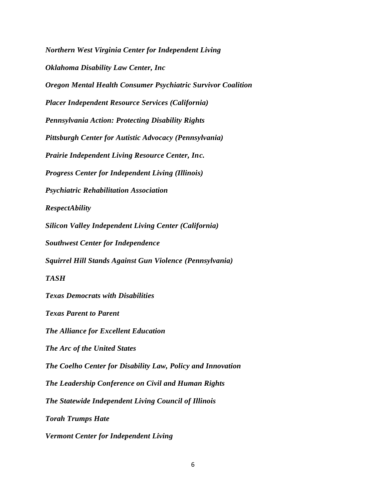*Northern West Virginia Center for Independent Living Oklahoma Disability Law Center, Inc Oregon Mental Health Consumer Psychiatric Survivor Coalition Placer Independent Resource Services (California) Pennsylvania Action: Protecting Disability Rights Pittsburgh Center for Autistic Advocacy (Pennsylvania) Prairie Independent Living Resource Center, Inc. Progress Center for Independent Living (Illinois) Psychiatric Rehabilitation Association RespectAbility Silicon Valley Independent Living Center (California) Southwest Center for Independence Squirrel Hill Stands Against Gun Violence (Pennsylvania) TASH Texas Democrats with Disabilities Texas Parent to Parent The Alliance for Excellent Education The Arc of the United States The Coelho Center for Disability Law, Policy and Innovation The Leadership Conference on Civil and Human Rights The Statewide Independent Living Council of Illinois Torah Trumps Hate Vermont Center for Independent Living*